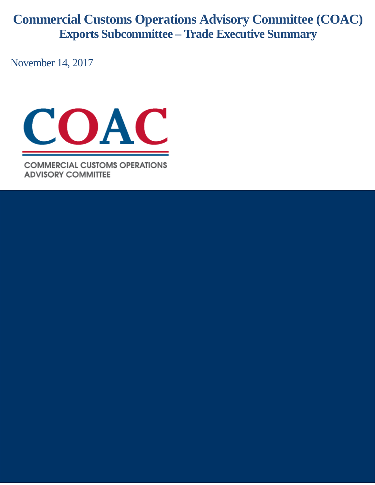**Commercial Customs Operations Advisory Committee (COAC) Exports Subcommittee – Trade Executive Summary**

November 14, 2017



**COMMERCIAL CUSTOMS OPERATIONS ADVISORY COMMITTEE**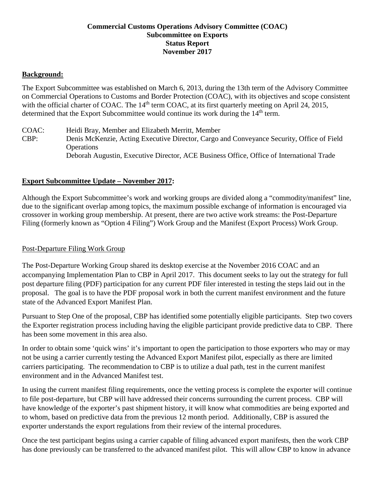## **Commercial Customs Operations Advisory Committee (COAC) Subcommittee on Exports Status Report November 2017**

### **Background:**

The Export Subcommittee was established on March 6, 2013, during the 13th term of the Advisory Committee on Commercial Operations to Customs and Border Protection (COAC), with its objectives and scope consistent with the official charter of COAC. The  $14<sup>th</sup>$  term COAC, at its first quarterly meeting on April 24, 2015, determined that the Export Subcommittee would continue its work during the 14<sup>th</sup> term.

COAC: Heidi Bray, Member and Elizabeth Merritt, Member CBP: Denis McKenzie, Acting Executive Director, Cargo and Conveyance Security, Office of Field **Operations** Deborah Augustin, Executive Director, ACE Business Office, Office of International Trade

#### **Export Subcommittee Update – November 2017:**

Although the Export Subcommittee's work and working groups are divided along a "commodity/manifest" line, due to the significant overlap among topics, the maximum possible exchange of information is encouraged via crossover in working group membership. At present, there are two active work streams: the Post-Departure Filing (formerly known as "Option 4 Filing") Work Group and the Manifest (Export Process) Work Group.

#### Post-Departure Filing Work Group

The Post-Departure Working Group shared its desktop exercise at the November 2016 COAC and an accompanying Implementation Plan to CBP in April 2017. This document seeks to lay out the strategy for full post departure filing (PDF) participation for any current PDF filer interested in testing the steps laid out in the proposal. The goal is to have the PDF proposal work in both the current manifest environment and the future state of the Advanced Export Manifest Plan.

Pursuant to Step One of the proposal, CBP has identified some potentially eligible participants. Step two covers the Exporter registration process including having the eligible participant provide predictive data to CBP. There has been some movement in this area also.

In order to obtain some 'quick wins' it's important to open the participation to those exporters who may or may not be using a carrier currently testing the Advanced Export Manifest pilot, especially as there are limited carriers participating. The recommendation to CBP is to utilize a dual path, test in the current manifest environment and in the Advanced Manifest test.

In using the current manifest filing requirements, once the vetting process is complete the exporter will continue to file post-departure, but CBP will have addressed their concerns surrounding the current process. CBP will have knowledge of the exporter's past shipment history, it will know what commodities are being exported and to whom, based on predictive data from the previous 12 month period. Additionally, CBP is assured the exporter understands the export regulations from their review of the internal procedures.

Once the test participant begins using a carrier capable of filing advanced export manifests, then the work CBP has done previously can be transferred to the advanced manifest pilot. This will allow CBP to know in advance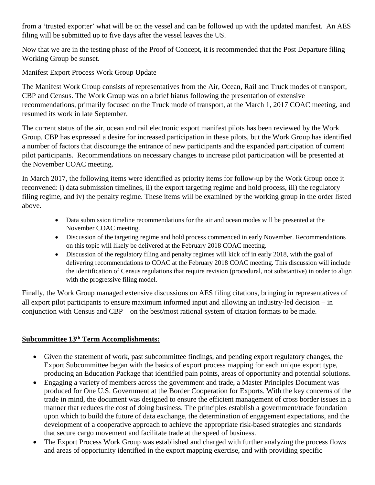from a 'trusted exporter' what will be on the vessel and can be followed up with the updated manifest. An AES filing will be submitted up to five days after the vessel leaves the US.

Now that we are in the testing phase of the Proof of Concept, it is recommended that the Post Departure filing Working Group be sunset.

## Manifest Export Process Work Group Update

The Manifest Work Group consists of representatives from the Air, Ocean, Rail and Truck modes of transport, CBP and Census. The Work Group was on a brief hiatus following the presentation of extensive recommendations, primarily focused on the Truck mode of transport, at the March 1, 2017 COAC meeting, and resumed its work in late September.

The current status of the air, ocean and rail electronic export manifest pilots has been reviewed by the Work Group. CBP has expressed a desire for increased participation in these pilots, but the Work Group has identified a number of factors that discourage the entrance of new participants and the expanded participation of current pilot participants. Recommendations on necessary changes to increase pilot participation will be presented at the November COAC meeting.

In March 2017, the following items were identified as priority items for follow-up by the Work Group once it reconvened: i) data submission timelines, ii) the export targeting regime and hold process, iii) the regulatory filing regime, and iv) the penalty regime. These items will be examined by the working group in the order listed above.

- Data submission timeline recommendations for the air and ocean modes will be presented at the November COAC meeting.
- Discussion of the targeting regime and hold process commenced in early November. Recommendations on this topic will likely be delivered at the February 2018 COAC meeting.
- Discussion of the regulatory filing and penalty regimes will kick off in early 2018, with the goal of delivering recommendations to COAC at the February 2018 COAC meeting. This discussion will include the identification of Census regulations that require revision (procedural, not substantive) in order to align with the progressive filing model.

Finally, the Work Group managed extensive discussions on AES filing citations, bringing in representatives of all export pilot participants to ensure maximum informed input and allowing an industry-led decision – in conjunction with Census and CBP – on the best/most rational system of citation formats to be made.

# **Subcommittee 13th Term Accomplishments:**

- Given the statement of work, past subcommittee findings, and pending export regulatory changes, the Export Subcommittee began with the basics of export process mapping for each unique export type, producing an Education Package that identified pain points, areas of opportunity and potential solutions.
- Engaging a variety of members across the government and trade, a Master Principles Document was produced for One U.S. Government at the Border Cooperation for Exports. With the key concerns of the trade in mind, the document was designed to ensure the efficient management of cross border issues in a manner that reduces the cost of doing business. The principles establish a government/trade foundation upon which to build the future of data exchange, the determination of engagement expectations, and the development of a cooperative approach to achieve the appropriate risk-based strategies and standards that secure cargo movement and facilitate trade at the speed of business.
- The Export Process Work Group was established and charged with further analyzing the process flows and areas of opportunity identified in the export mapping exercise, and with providing specific